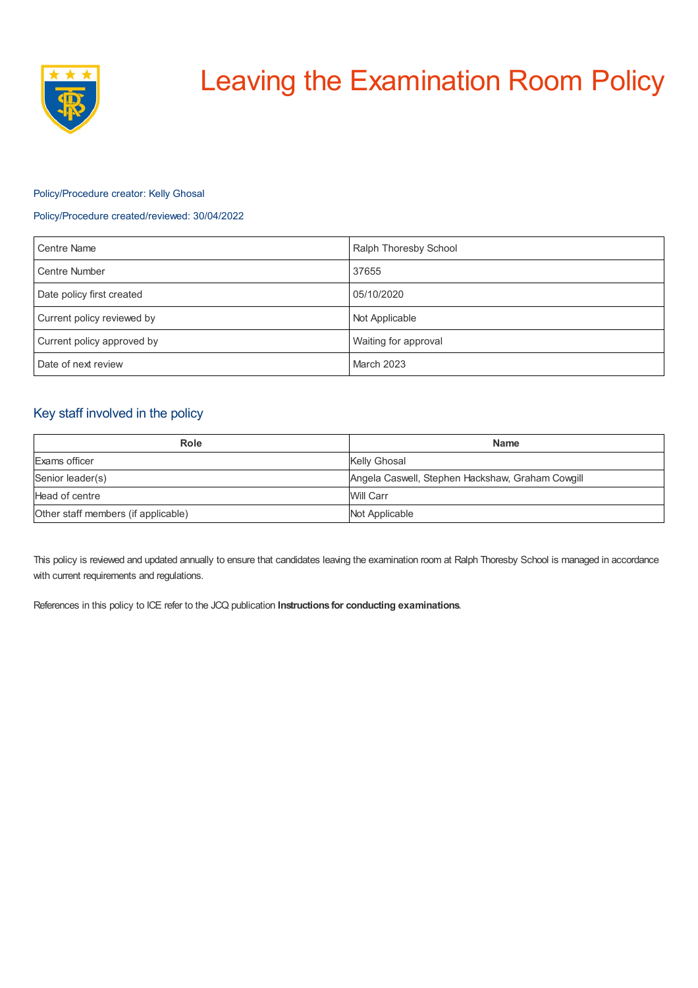

# Leaving the Examination Room Policy

## Policy/Procedure creator: Kelly Ghosal

## Policy/Procedure created/reviewed: 30/04/2022

| <b>Centre Name</b>         | Ralph Thoresby School |
|----------------------------|-----------------------|
| <b>Centre Number</b>       | 37655                 |
| Date policy first created  | 05/10/2020            |
| Current policy reviewed by | Not Applicable        |
| Current policy approved by | Waiting for approval  |
| Date of next review        | <b>March 2023</b>     |

## Key staff involved in the policy

| Role                                | <b>Name</b>                                      |
|-------------------------------------|--------------------------------------------------|
| Exams officer                       | Kelly Ghosal                                     |
| Senior leader(s)                    | Angela Caswell, Stephen Hackshaw, Graham Cowgill |
| Head of centre                      | Will Carr                                        |
| Other staff members (if applicable) | Not Applicable                                   |

This policy is reviewed and updated annually to ensure that candidates leaving the examination room at Ralph Thoresby School is managed in accordance with current requirements and regulations.

References in this policy to ICE refer to the JCQ publication **Instructions for conducting examinations**.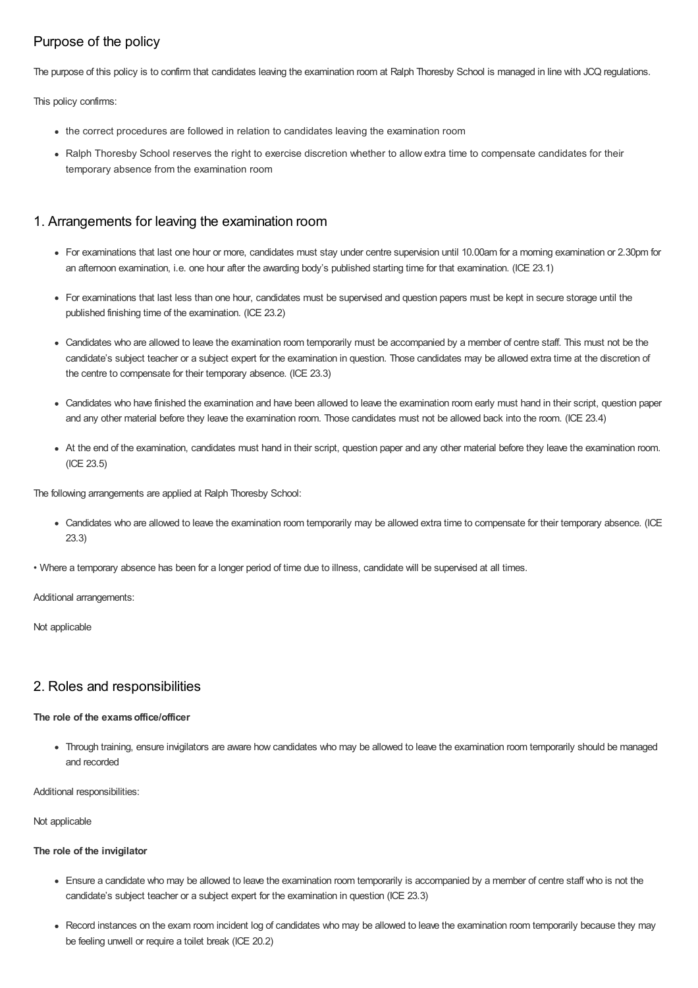# Purpose of the policy

The purpose of this policy is to confirm that candidates leaving the examination room at Ralph Thoresby School is managed in line with JCQ regulations.

This policy confirms:

- the correct procedures are followed in relation to candidates leaving the examination room
- Ralph Thoresby School reserves the right to exercise discretion whether to allow extra time to compensate candidates for their temporary absence from the examination room

# 1. Arrangements for leaving the examination room

- For examinations that last one hour or more, candidates must stay under centre supervision until 10.00am for a morning examination or 2.30pm for an afternoon examination, i.e. one hour after the awarding body's published starting time for that examination. (ICE 23.1)
- For examinations that last less than one hour, candidates must be supervised and question papers must be kept in secure storage until the published finishing time of the examination. (ICE 23.2)
- Candidates who are allowed to leave the examination room temporarily must be accompanied by a member of centre staff. This must not be the candidate's subject teacher or a subject expert for the examination in question. Those candidates may be allowed extra time at the discretion of the centre to compensate for their temporary absence. (ICE 23.3)
- Candidates who have finished the examination and have been allowed to leave the examination room early must hand in their script, question paper and any other material before they leave the examination room. Those candidates must not be allowed back into the room. (ICE 23.4)
- At the end of the examination, candidates must hand in their script, question paper and any other material before they leave the examination room. (ICE 23.5)

The following arrangements are applied at Ralph Thoresby School:

Candidates who are allowed to leave the examination room temporarily may be allowed extra time to compensate for their temporary absence. (ICE 23.3)

• Where a temporary absence has been for a longer period of time due to illness, candidate will be supervised at all times.

Additional arrangements:

Not applicable

## 2. Roles and responsibilities

### **The role of the examsoffice/officer**

Through training, ensure invigilators are aware how candidates who may be allowed to leave the examination room temporarily should be managed and recorded

Additional responsibilities:

Not applicable

### **The role of the invigilator**

- Ensure a candidate who may be allowed to leave the examination room temporarily is accompanied by a member of centre staff who is not the candidate's subject teacher or a subject expert for the examination in question (ICE 23.3)
- Record instances on the exam room incident log of candidates who may be allowed to leave the examination room temporarily because they may be feeling unwell or require a toilet break (ICE 20.2)